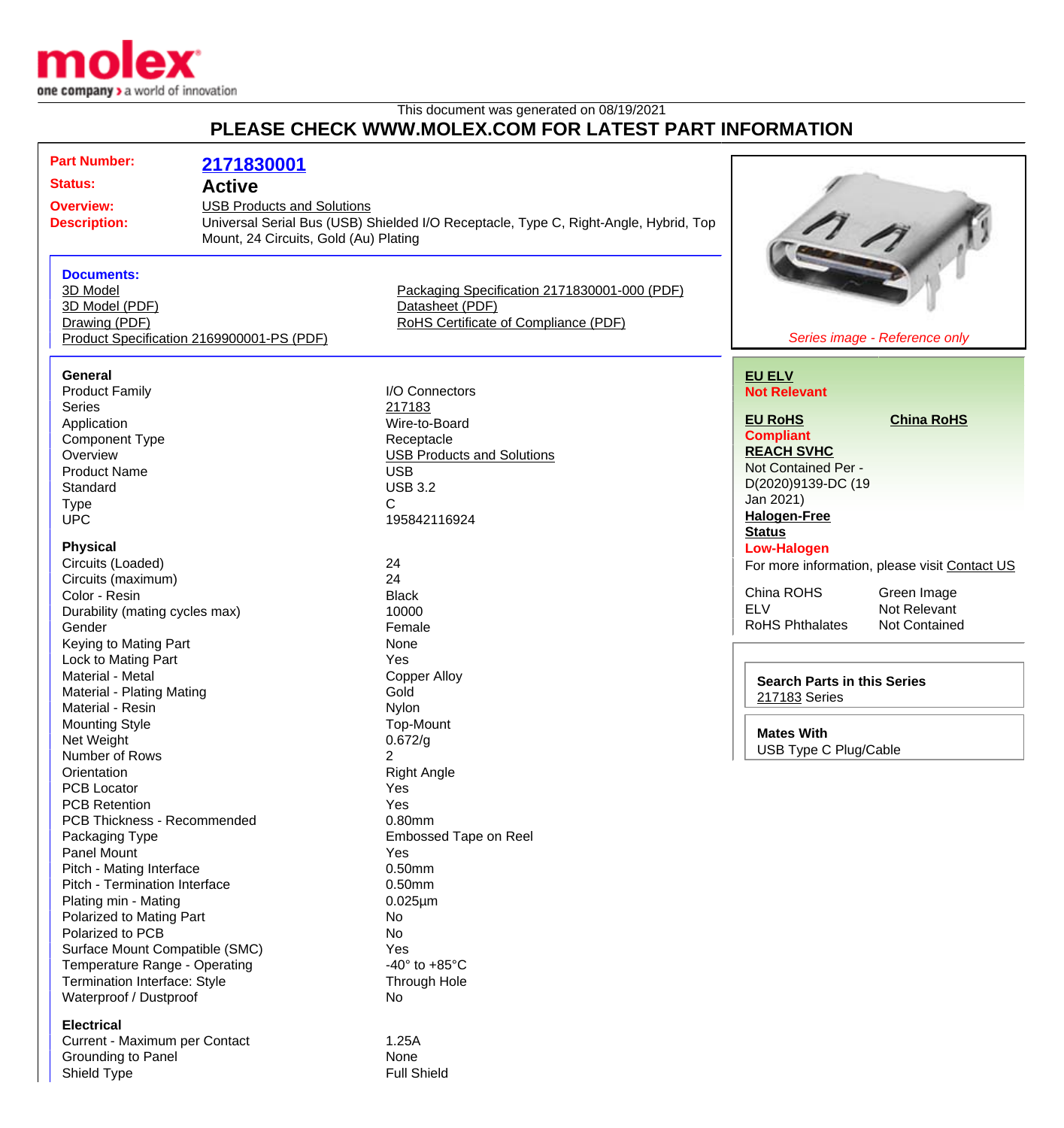

## This document was generated on 08/19/2021 **PLEASE CHECK WWW.MOLEX.COM FOR LATEST PART INFORMATION**

| <b>Part Number:</b>                                   | 2171830001                                                                           |                                              |                        |                                               |  |
|-------------------------------------------------------|--------------------------------------------------------------------------------------|----------------------------------------------|------------------------|-----------------------------------------------|--|
| <b>Status:</b><br><b>Active</b>                       |                                                                                      |                                              |                        |                                               |  |
| <b>USB Products and Solutions</b><br><b>Overview:</b> |                                                                                      |                                              |                        |                                               |  |
| <b>Description:</b>                                   | Universal Serial Bus (USB) Shielded I/O Receptacle, Type C, Right-Angle, Hybrid, Top |                                              |                        |                                               |  |
| Mount, 24 Circuits, Gold (Au) Plating                 |                                                                                      |                                              |                        |                                               |  |
|                                                       |                                                                                      |                                              |                        |                                               |  |
| <b>Documents:</b><br>3D Model                         |                                                                                      | Packaging Specification 2171830001-000 (PDF) |                        |                                               |  |
| 3D Model (PDF)                                        |                                                                                      | Datasheet (PDF)                              |                        |                                               |  |
| Drawing (PDF)                                         |                                                                                      | RoHS Certificate of Compliance (PDF)         |                        |                                               |  |
| Product Specification 2169900001-PS (PDF)             |                                                                                      |                                              |                        | Series image - Reference only                 |  |
|                                                       |                                                                                      |                                              |                        |                                               |  |
| <b>General</b>                                        |                                                                                      |                                              | <b>EU ELV</b>          |                                               |  |
| <b>Product Family</b>                                 |                                                                                      | I/O Connectors                               | <b>Not Relevant</b>    |                                               |  |
| <b>Series</b>                                         |                                                                                      | 217183                                       |                        |                                               |  |
| Application                                           |                                                                                      | Wire-to-Board                                | <b>EU RoHS</b>         | <b>China RoHS</b>                             |  |
| Component Type                                        |                                                                                      | Receptacle                                   | <b>Compliant</b>       |                                               |  |
| Overview                                              |                                                                                      | <b>USB Products and Solutions</b>            | <b>REACH SVHC</b>      |                                               |  |
| <b>Product Name</b>                                   |                                                                                      | <b>USB</b>                                   | Not Contained Per -    |                                               |  |
| Standard                                              |                                                                                      | <b>USB 3.2</b>                               | D(2020)9139-DC (19     |                                               |  |
| <b>Type</b>                                           |                                                                                      | C                                            | Jan 2021)              |                                               |  |
| <b>UPC</b>                                            |                                                                                      | 195842116924                                 | <b>Halogen-Free</b>    |                                               |  |
|                                                       |                                                                                      |                                              | <b>Status</b>          |                                               |  |
| <b>Physical</b>                                       |                                                                                      |                                              | <b>Low-Halogen</b>     |                                               |  |
| Circuits (Loaded)                                     |                                                                                      | 24                                           |                        | For more information, please visit Contact US |  |
| Circuits (maximum)                                    |                                                                                      | 24                                           |                        |                                               |  |
| Color - Resin                                         |                                                                                      | <b>Black</b>                                 | China ROHS             | Green Image                                   |  |
| Durability (mating cycles max)                        |                                                                                      | 10000                                        | <b>ELV</b>             | Not Relevant                                  |  |
| Gender                                                |                                                                                      | Female                                       | <b>RoHS Phthalates</b> | <b>Not Contained</b>                          |  |
| Keying to Mating Part                                 |                                                                                      | None                                         |                        |                                               |  |
| Lock to Mating Part                                   |                                                                                      | Yes                                          |                        |                                               |  |
| Material - Metal                                      |                                                                                      | <b>Copper Alloy</b>                          |                        | <b>Search Parts in this Series</b>            |  |
| Material - Plating Mating                             |                                                                                      | Gold                                         | 217183 Series          |                                               |  |
| Material - Resin                                      |                                                                                      | Nylon                                        |                        |                                               |  |
| <b>Mounting Style</b>                                 |                                                                                      | Top-Mount                                    | <b>Mates With</b>      |                                               |  |
| Net Weight                                            |                                                                                      | 0.672/g                                      |                        | <b>USB Type C Plug/Cable</b>                  |  |
| Number of Rows                                        |                                                                                      | $\overline{2}$                               |                        |                                               |  |
| Orientation                                           |                                                                                      | <b>Right Angle</b>                           |                        |                                               |  |
| <b>PCB Locator</b>                                    |                                                                                      | Yes                                          |                        |                                               |  |
| <b>PCB Retention</b>                                  |                                                                                      | Yes                                          |                        |                                               |  |
| PCB Thickness - Recommended                           |                                                                                      | 0.80mm                                       |                        |                                               |  |
| Packaging Type                                        |                                                                                      | <b>Embossed Tape on Reel</b>                 |                        |                                               |  |
| Panel Mount                                           |                                                                                      | Yes                                          |                        |                                               |  |
| Pitch - Mating Interface                              |                                                                                      | 0.50mm                                       |                        |                                               |  |
| Pitch - Termination Interface                         |                                                                                      | 0.50mm                                       |                        |                                               |  |
| Plating min - Mating                                  |                                                                                      | $0.025 \mu m$                                |                        |                                               |  |
| Polarized to Mating Part                              |                                                                                      | No                                           |                        |                                               |  |
| Polarized to PCB                                      |                                                                                      | No                                           |                        |                                               |  |
| Surface Mount Compatible (SMC)                        |                                                                                      | Yes                                          |                        |                                               |  |
| Temperature Range - Operating                         |                                                                                      | -40 $^{\circ}$ to +85 $^{\circ}$ C           |                        |                                               |  |
| Termination Interface: Style                          |                                                                                      | Through Hole                                 |                        |                                               |  |
| Waterproof / Dustproof                                |                                                                                      | No                                           |                        |                                               |  |
| <b>Electrical</b>                                     |                                                                                      |                                              |                        |                                               |  |
| Current - Maximum per Contact                         |                                                                                      | 1.25A                                        |                        |                                               |  |
| Crounding to Danol                                    |                                                                                      | <b>Nono</b>                                  |                        |                                               |  |

Grounding to Panel and American control of None Shield Type **Full Shield**